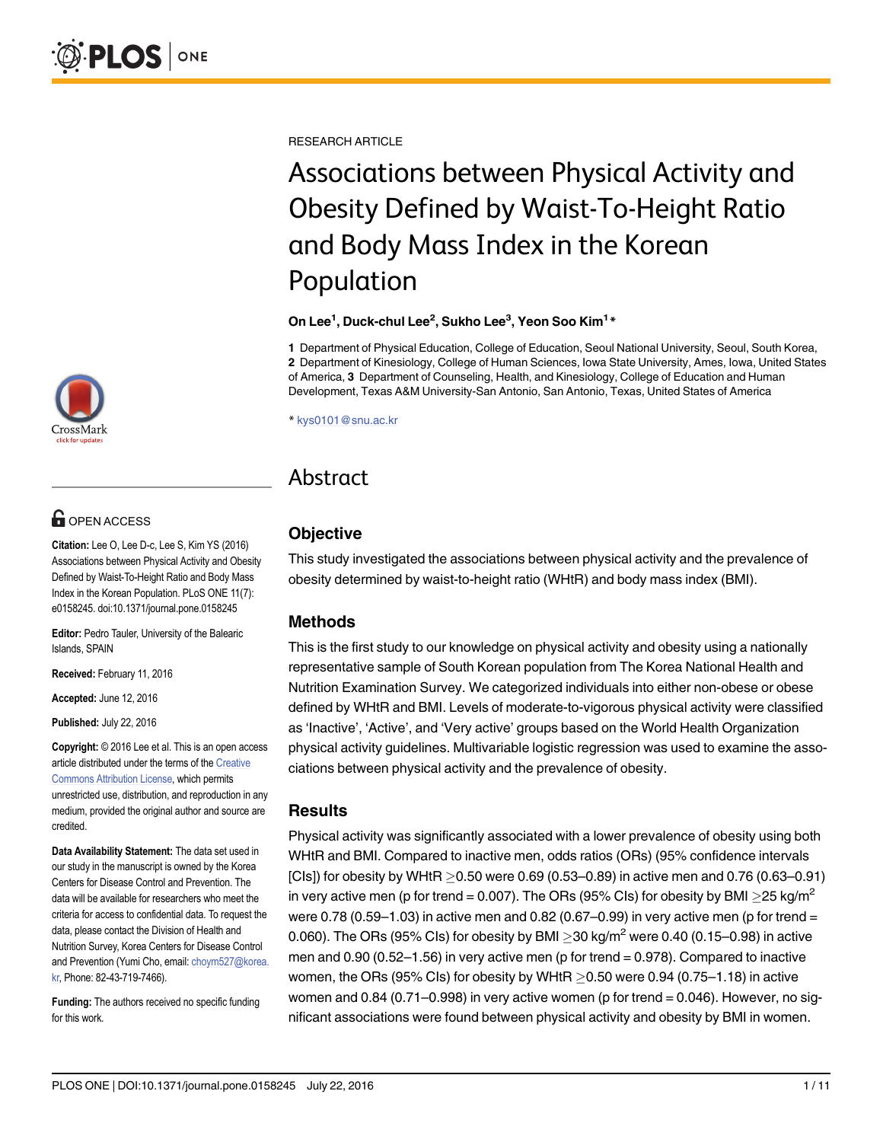[a11111](http://crossmark.crossref.org/dialog/?doi=10.1371/journal.pone.0158245&domain=pdf)

# **G** OPEN ACCESS

Citation: Lee O, Lee D-c, Lee S, Kim YS (2016) Associations between Physical Activity and Obesity Defined by Waist-To-Height Ratio and Body Mass Index in the Korean Population. PLoS ONE 11(7): e0158245. doi:10.1371/journal.pone.0158245

Editor: Pedro Tauler, University of the Balearic Islands, SPAIN

Received: February 11, 2016

Accepted: June 12, 2016

Published: July 22, 2016

Copyright: © 2016 Lee et al. This is an open access article distributed under the terms of the [Creative](http://creativecommons.org/licenses/by/4.0/) [Commons Attribution License](http://creativecommons.org/licenses/by/4.0/), which permits unrestricted use, distribution, and reproduction in any medium, provided the original author and source are credited.

Data Availability Statement: The data set used in our study in the manuscript is owned by the Korea Centers for Disease Control and Prevention. The data will be available for researchers who meet the criteria for access to confidential data. To request the data, please contact the Division of Health and Nutrition Survey, Korea Centers for Disease Control and Prevention (Yumi Cho, email: choym527@korea. kr, Phone: 82-43-719-7466).

Funding: The authors received no specific funding for this work.

RESEARCH ARTICLE

# Associations between Physical Activity and Obesity Defined by Waist-To-Height Ratio and Body Mass Index in the Korean Population

#### On Lee $^1$ , Duck-chul Lee $^2$ , Sukho Lee $^3$ , Yeon Soo Kim $^1\text{*}$

1 Department of Physical Education, College of Education, Seoul National University, Seoul, South Korea, 2 Department of Kinesiology, College of Human Sciences, Iowa State University, Ames, Iowa, United States of America, 3 Department of Counseling, Health, and Kinesiology, College of Education and Human Development, Texas A&M University-San Antonio, San Antonio, Texas, United States of America

\* kys0101@snu.ac.kr

# Abstract

# **Objective**

This study investigated the associations between physical activity and the prevalence of obesity determined by waist-to-height ratio (WHtR) and body mass index (BMI).

# Methods

This is the first study to our knowledge on physical activity and obesity using a nationally representative sample of South Korean population from The Korea National Health and Nutrition Examination Survey. We categorized individuals into either non-obese or obese defined by WHtR and BMI. Levels of moderate-to-vigorous physical activity were classified as 'Inactive', 'Active', and 'Very active' groups based on the World Health Organization physical activity guidelines. Multivariable logistic regression was used to examine the associations between physical activity and the prevalence of obesity.

# Results

Physical activity was significantly associated with a lower prevalence of obesity using both WHtR and BMI. Compared to inactive men, odds ratios (ORs) (95% confidence intervals [CIs]) for obesity by WHtR  $\geq$  0.50 were 0.69 (0.53–0.89) in active men and 0.76 (0.63–0.91) in very active men (p for trend = 0.007). The ORs (95% CIs) for obesity by BMI  $\geq$ 25 kg/m<sup>2</sup> were 0.78 (0.59–1.03) in active men and 0.82 (0.67–0.99) in very active men (p for trend = 0.060). The ORs (95% CIs) for obesity by BMI  $\geq$ 30 kg/m<sup>2</sup> were 0.40 (0.15–0.98) in active men and  $0.90$  ( $0.52-1.56$ ) in very active men (p for trend =  $0.978$ ). Compared to inactive women, the ORs (95% CIs) for obesity by WHtR  $>$  0.50 were 0.94 (0.75–1.18) in active women and 0.84 (0.71–0.998) in very active women (p for trend = 0.046). However, no significant associations were found between physical activity and obesity by BMI in women.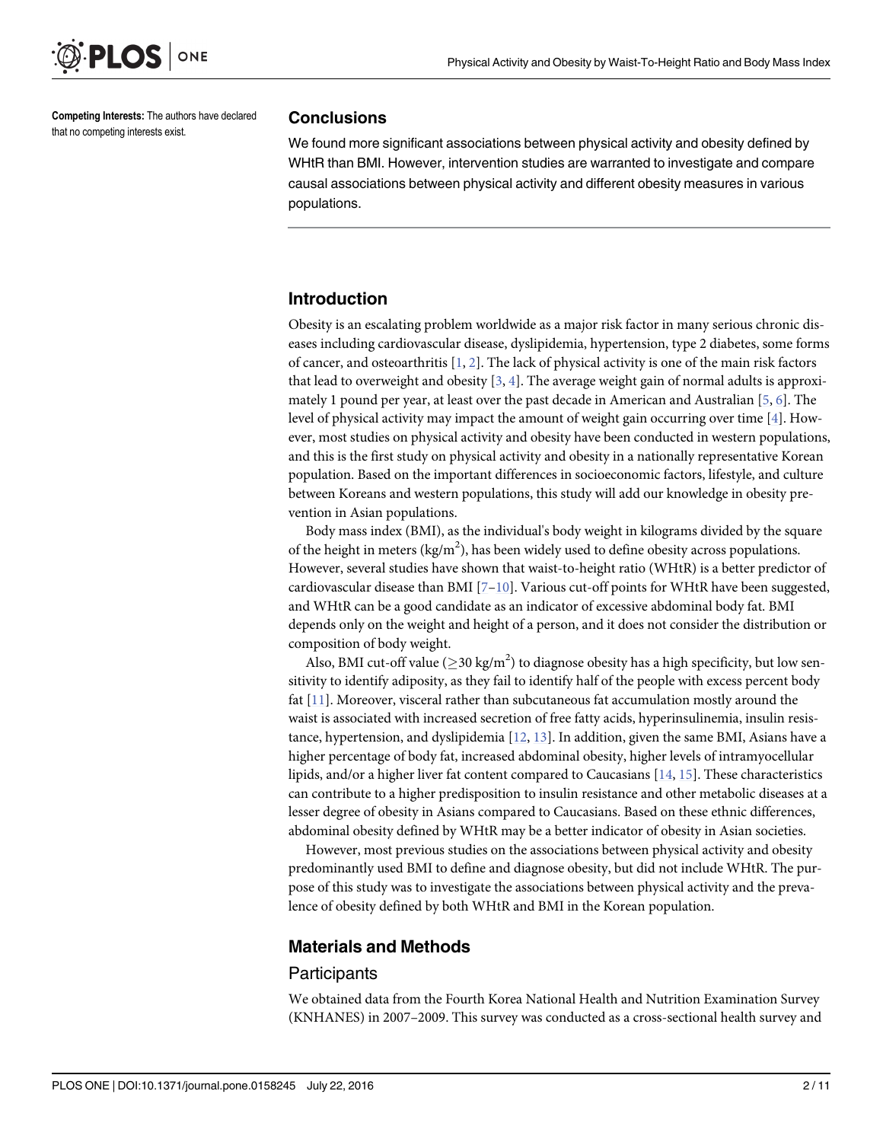<span id="page-1-0"></span>

Competing Interests: The authors have declared that no competing interests exist.

#### **Conclusions**

We found more significant associations between physical activity and obesity defined by WHtR than BMI. However, intervention studies are warranted to investigate and compare causal associations between physical activity and different obesity measures in various populations.

#### Introduction

Obesity is an escalating problem worldwide as a major risk factor in many serious chronic diseases including cardiovascular disease, dyslipidemia, hypertension, type 2 diabetes, some forms of cancer, and osteoarthritis  $[1, 2]$  $[1, 2]$  $[1, 2]$  $[1, 2]$ . The lack of physical activity is one of the main risk factors that lead to overweight and obesity  $[3, 4]$  $[3, 4]$  $[3, 4]$  $[3, 4]$ . The average weight gain of normal adults is approximately 1 pound per year, at least over the past decade in American and Australian [[5,](#page-8-0) [6\]](#page-8-0). The level of physical activity may impact the amount of weight gain occurring over time  $[4]$ . However, most studies on physical activity and obesity have been conducted in western populations, and this is the first study on physical activity and obesity in a nationally representative Korean population. Based on the important differences in socioeconomic factors, lifestyle, and culture between Koreans and western populations, this study will add our knowledge in obesity prevention in Asian populations.

Body mass index (BMI), as the individual's body weight in kilograms divided by the square of the height in meters ( $\text{kg/m}^2$ ), has been widely used to define obesity across populations. However, several studies have shown that waist-to-height ratio (WHtR) is a better predictor of cardiovascular disease than BMI  $[7-10]$  $[7-10]$  $[7-10]$  $[7-10]$  $[7-10]$ . Various cut-off points for WHtR have been suggested, and WHtR can be a good candidate as an indicator of excessive abdominal body fat. BMI depends only on the weight and height of a person, and it does not consider the distribution or composition of body weight.

Also, BMI cut-off value ( $\geq$ 30 kg/m<sup>2</sup>) to diagnose obesity has a high specificity, but low sensitivity to identify adiposity, as they fail to identify half of the people with excess percent body fat [[11\]](#page-8-0). Moreover, visceral rather than subcutaneous fat accumulation mostly around the waist is associated with increased secretion of free fatty acids, hyperinsulinemia, insulin resistance, hypertension, and dyslipidemia [[12](#page-8-0), [13\]](#page-8-0). In addition, given the same BMI, Asians have a higher percentage of body fat, increased abdominal obesity, higher levels of intramyocellular lipids, and/or a higher liver fat content compared to Caucasians  $[14, 15]$  $[14, 15]$  $[14, 15]$  $[14, 15]$  $[14, 15]$ . These characteristics can contribute to a higher predisposition to insulin resistance and other metabolic diseases at a lesser degree of obesity in Asians compared to Caucasians. Based on these ethnic differences, abdominal obesity defined by WHtR may be a better indicator of obesity in Asian societies.

However, most previous studies on the associations between physical activity and obesity predominantly used BMI to define and diagnose obesity, but did not include WHtR. The purpose of this study was to investigate the associations between physical activity and the prevalence of obesity defined by both WHtR and BMI in the Korean population.

#### Materials and Methods

#### **Participants**

We obtained data from the Fourth Korea National Health and Nutrition Examination Survey (KNHANES) in 2007–2009. This survey was conducted as a cross-sectional health survey and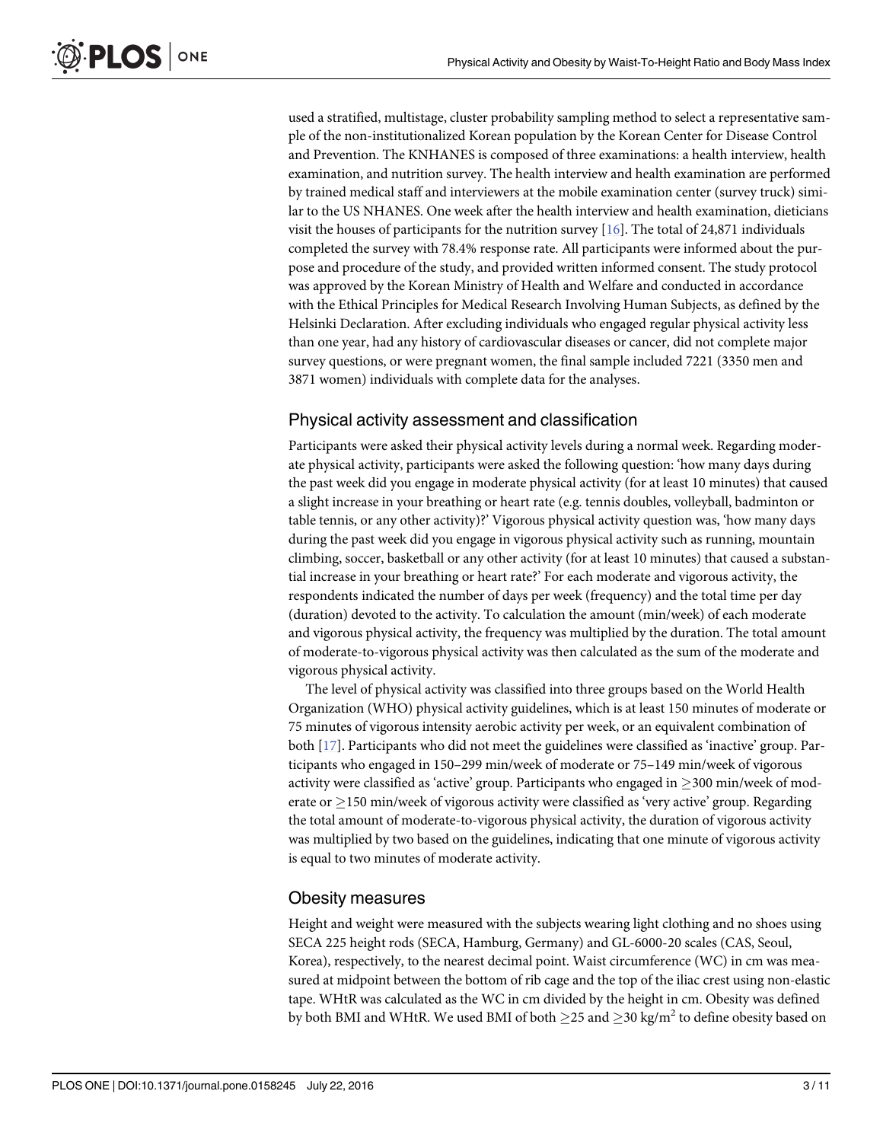<span id="page-2-0"></span>used a stratified, multistage, cluster probability sampling method to select a representative sample of the non-institutionalized Korean population by the Korean Center for Disease Control and Prevention. The KNHANES is composed of three examinations: a health interview, health examination, and nutrition survey. The health interview and health examination are performed by trained medical staff and interviewers at the mobile examination center (survey truck) similar to the US NHANES. One week after the health interview and health examination, dieticians visit the houses of participants for the nutrition survey  $[16]$  $[16]$ . The total of 24,871 individuals completed the survey with 78.4% response rate. All participants were informed about the purpose and procedure of the study, and provided written informed consent. The study protocol was approved by the Korean Ministry of Health and Welfare and conducted in accordance with the Ethical Principles for Medical Research Involving Human Subjects, as defined by the Helsinki Declaration. After excluding individuals who engaged regular physical activity less than one year, had any history of cardiovascular diseases or cancer, did not complete major survey questions, or were pregnant women, the final sample included 7221 (3350 men and 3871 women) individuals with complete data for the analyses.

# Physical activity assessment and classification

Participants were asked their physical activity levels during a normal week. Regarding moderate physical activity, participants were asked the following question: 'how many days during the past week did you engage in moderate physical activity (for at least 10 minutes) that caused a slight increase in your breathing or heart rate (e.g. tennis doubles, volleyball, badminton or table tennis, or any other activity)?' Vigorous physical activity question was, 'how many days during the past week did you engage in vigorous physical activity such as running, mountain climbing, soccer, basketball or any other activity (for at least 10 minutes) that caused a substantial increase in your breathing or heart rate?' For each moderate and vigorous activity, the respondents indicated the number of days per week (frequency) and the total time per day (duration) devoted to the activity. To calculation the amount (min/week) of each moderate and vigorous physical activity, the frequency was multiplied by the duration. The total amount of moderate-to-vigorous physical activity was then calculated as the sum of the moderate and vigorous physical activity.

The level of physical activity was classified into three groups based on the World Health Organization (WHO) physical activity guidelines, which is at least 150 minutes of moderate or 75 minutes of vigorous intensity aerobic activity per week, or an equivalent combination of both [[17\]](#page-8-0). Participants who did not meet the guidelines were classified as 'inactive' group. Participants who engaged in 150–299 min/week of moderate or 75–149 min/week of vigorous activity were classified as 'active' group. Participants who engaged in  $\geq$  300 min/week of moderate or  $\geq$  150 min/week of vigorous activity were classified as 'very active' group. Regarding the total amount of moderate-to-vigorous physical activity, the duration of vigorous activity was multiplied by two based on the guidelines, indicating that one minute of vigorous activity is equal to two minutes of moderate activity.

# Obesity measures

Height and weight were measured with the subjects wearing light clothing and no shoes using SECA 225 height rods (SECA, Hamburg, Germany) and GL-6000-20 scales (CAS, Seoul, Korea), respectively, to the nearest decimal point. Waist circumference (WC) in cm was measured at midpoint between the bottom of rib cage and the top of the iliac crest using non-elastic tape. WHtR was calculated as the WC in cm divided by the height in cm. Obesity was defined by both BMI and WHtR. We used BMI of both  ${\geq}25$  and  ${\geq}30$  kg/m $^2$  to define obesity based on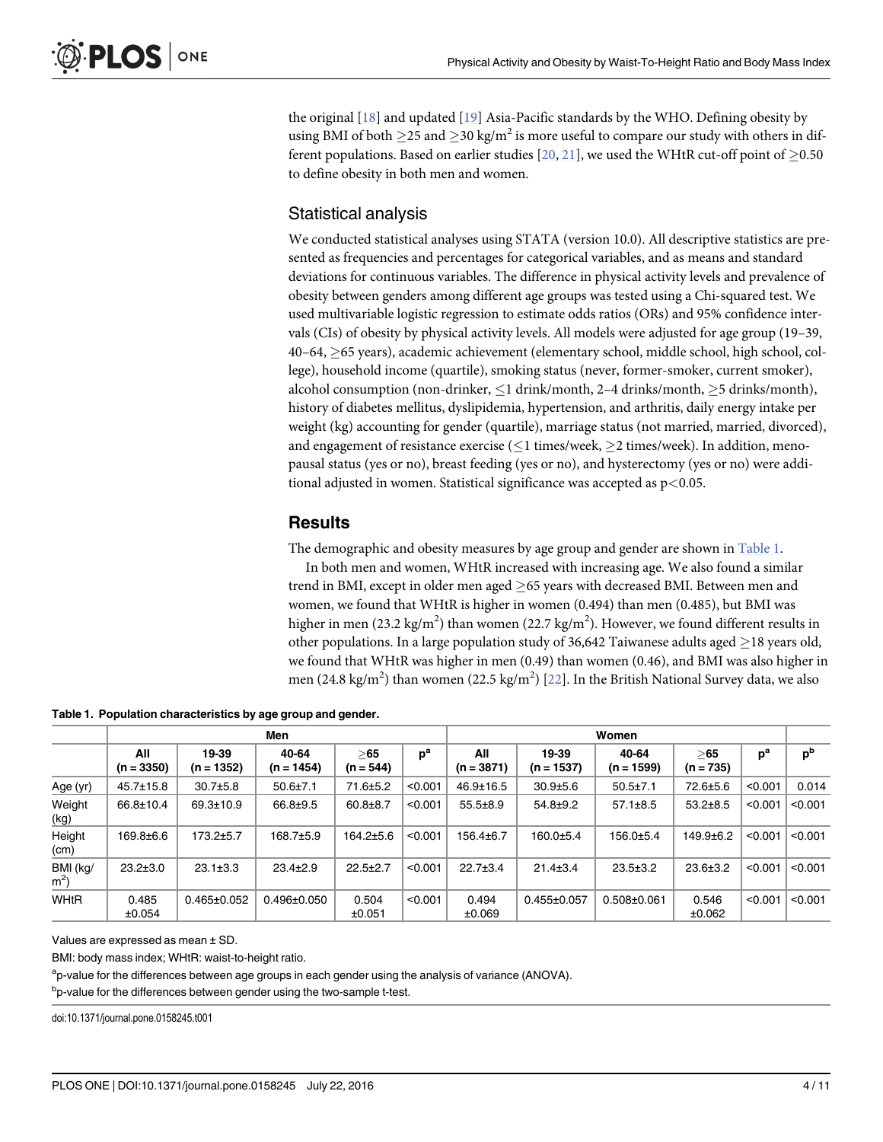<span id="page-3-0"></span>the original [\[18\]](#page-8-0) and updated [[19](#page-9-0)] Asia-Pacific standards by the WHO. Defining obesity by using BMI of both  $\geq$  25 and  $\geq$  30 kg/m<sup>2</sup> is more useful to compare our study with others in dif-ferent populations. Based on earlier studies [[20](#page-9-0), [21](#page-9-0)], we used the WHtR cut-off point of  $\geq$ 0.50 to define obesity in both men and women.

#### Statistical analysis

We conducted statistical analyses using STATA (version 10.0). All descriptive statistics are presented as frequencies and percentages for categorical variables, and as means and standard deviations for continuous variables. The difference in physical activity levels and prevalence of obesity between genders among different age groups was tested using a Chi-squared test. We used multivariable logistic regression to estimate odds ratios (ORs) and 95% confidence intervals (CIs) of obesity by physical activity levels. All models were adjusted for age group (19–39,  $40-64$ ,  $\geq$  65 years), academic achievement (elementary school, middle school, high school, college), household income (quartile), smoking status (never, former-smoker, current smoker), alcohol consumption (non-drinker,  $\leq 1$  drink/month, 2–4 drinks/month,  $\geq 5$  drinks/month), history of diabetes mellitus, dyslipidemia, hypertension, and arthritis, daily energy intake per weight (kg) accounting for gender (quartile), marriage status (not married, married, divorced), and engagement of resistance exercise ( $\leq$ 1 times/week,  $\geq$ 2 times/week). In addition, menopausal status (yes or no), breast feeding (yes or no), and hysterectomy (yes or no) were additional adjusted in women. Statistical significance was accepted as  $p<0.05$ .

### **Results**

The demographic and obesity measures by age group and gender are shown in **Table 1**.

In both men and women, WHtR increased with increasing age. We also found a similar trend in BMI, except in older men aged  $\geq$ 65 years with decreased BMI. Between men and women, we found that WHtR is higher in women (0.494) than men (0.485), but BMI was higher in men (23.2 kg/m<sup>2</sup>) than women (22.7 kg/m<sup>2</sup>). However, we found different results in other populations. In a large population study of 36,642 Taiwanese adults aged  $\geq$  18 years old, we found that WHtR was higher in men (0.49) than women (0.46), and BMI was also higher in men (24.8 kg/m<sup>2</sup>) than women (22.5 kg/m<sup>2</sup>) [\[22\]](#page-9-0). In the British National Survey data, we also

|  | Table 1. Population characteristics by age group and gender. |  |  |
|--|--------------------------------------------------------------|--|--|
|--|--------------------------------------------------------------|--|--|

|                            |                     |                       | Men                   | Women               |         |                     |                       |                       |                    |         |                |
|----------------------------|---------------------|-----------------------|-----------------------|---------------------|---------|---------------------|-----------------------|-----------------------|--------------------|---------|----------------|
|                            | All<br>$(n = 3350)$ | 19-39<br>$(n = 1352)$ | 40-64<br>$(n = 1454)$ | > 65<br>$(n = 544)$ | $p^a$   | All<br>$(n = 3871)$ | 19-39<br>$(n = 1537)$ | 40-64<br>$(n = 1599)$ | >65<br>$(n = 735)$ | $p^a$   | p <sup>b</sup> |
| Age (yr)                   | $45.7 \pm 15.8$     | $30.7{\pm}5.8$        | $50.6 \pm 7.1$        | 71.6±5.2            | < 0.001 | $46.9 \pm 16.5$     | $30.9{\pm}5.6$        | $50.5 \pm 7.1$        | 72.6±5.6           | < 0.001 | 0.014          |
| Weight<br>(kg)             | 66.8±10.4           | 69.3±10.9             | 66.8±9.5              | $60.8 \pm 8.7$      | < 0.001 | $55.5 \pm 8.9$      | $54.8 \pm 9.2$        | $57.1 \pm 8.5$        | $53.2 \pm 8.5$     | < 0.001 | < 0.001        |
| Height<br>(cm)             | 169.8±6.6           | $173.2 \pm 5.7$       | 168.7±5.9             | $164.2 \pm 5.6$     | < 0.001 | $156.4 \pm 6.7$     | $160.0 \pm 5.4$       | 156.0±5.4             | $149.9 + 6.2$      | < 0.001 | < 0.001        |
| BMI (kg/<br>m <sup>2</sup> | $23.2 \pm 3.0$      | $23.1 \pm 3.3$        | $23.4 \pm 2.9$        | $22.5 \pm 2.7$      | < 0.001 | $22.7 \pm 3.4$      | $21.4 \pm 3.4$        | $23.5 \pm 3.2$        | $23.6 \pm 3.2$     | < 0.001 | < 0.001        |
| WHtR                       | 0.485<br>±0.054     | $0.465 \pm 0.052$     | $0.496 \pm 0.050$     | 0.504<br>±0.051     | < 0.001 | 0.494<br>±0.069     | $0.455 \pm 0.057$     | $0.508 \pm 0.061$     | 0.546<br>±0.062    | < 0.001 | < 0.001        |

Values are expressed as mean ± SD.

BMI: body mass index; WHtR: waist-to-height ratio.

<sup>a</sup>p-value for the differences between age groups in each gender using the analysis of variance (ANOVA).

<sup>b</sup>p-value for the differences between gender using the two-sample t-test.

doi:10.1371/journal.pone.0158245.t001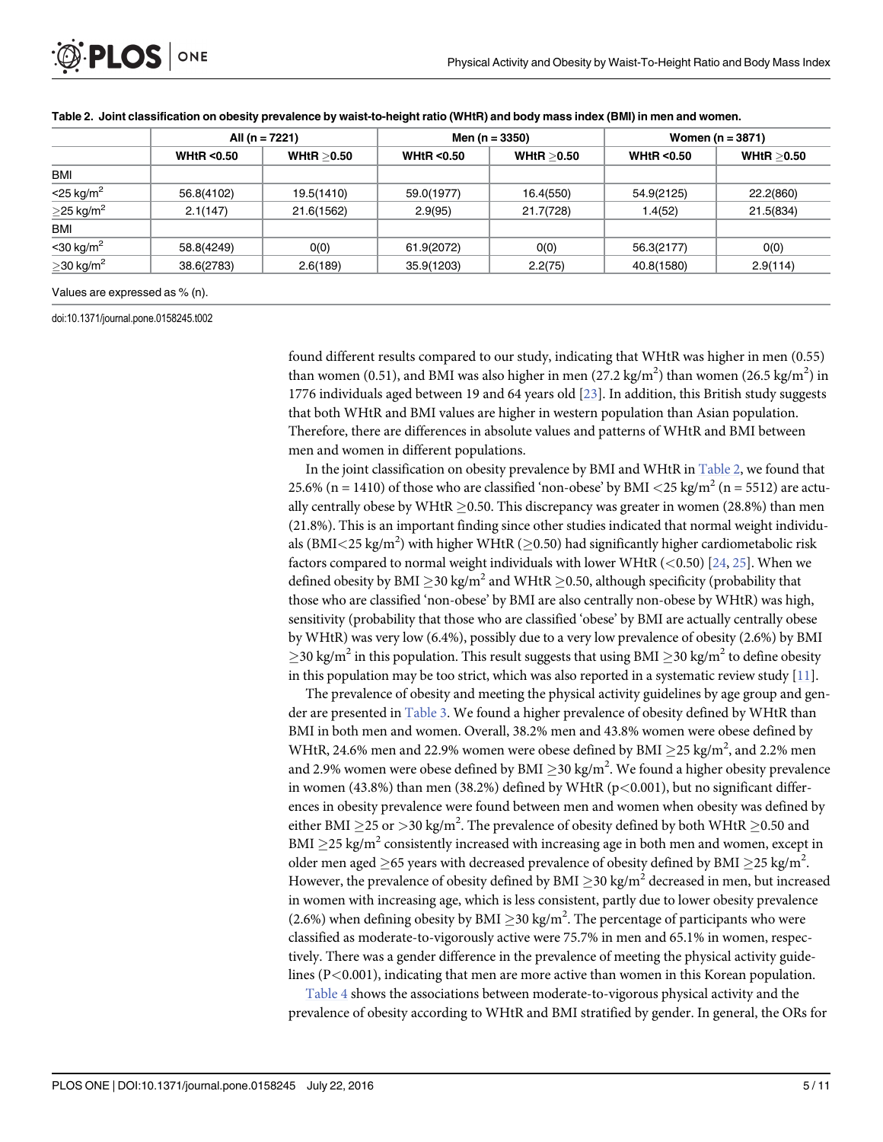<span id="page-4-0"></span>

|                             | All (n = $7221$ )    |              |                      | Men ( $n = 3350$ ) | Women $(n = 3871)$   |              |  |
|-----------------------------|----------------------|--------------|----------------------|--------------------|----------------------|--------------|--|
|                             | <b>WHtR &lt;0.50</b> | WHtR $>0.50$ | <b>WHtR &lt;0.50</b> | WHtR $>0.50$       | <b>WHtR &lt;0.50</b> | WHtR $>0.50$ |  |
| <b>BMI</b>                  |                      |              |                      |                    |                      |              |  |
| $<$ 25 kg/m <sup>2</sup>    | 56.8(4102)           | 19.5(1410)   | 59.0(1977)           | 16.4(550)          | 54.9(2125)           | 22.2(860)    |  |
| $\geq$ 25 kg/m <sup>2</sup> | 2.1(147)             | 21.6(1562)   | 2.9(95)              | 21.7(728)          | 1.4(52)              | 21.5(834)    |  |
| <b>BMI</b>                  |                      |              |                      |                    |                      |              |  |
| $<$ 30 kg/m <sup>2</sup>    | 58.8(4249)           | O(0)         | 61.9(2072)           | 0(0)               | 56.3(2177)           | 0(0)         |  |
| $\geq$ 30 kg/m <sup>2</sup> | 38.6(2783)           | 2.6(189)     | 35.9(1203)           | 2.2(75)            | 40.8(1580)           | 2.9(114)     |  |

#### Table 2. Joint classification on obesity prevalence by waist-to-height ratio (WHtR) and body mass index (BMI) in men and women.

doi:10.1371/journal.pone.0158245.t002

found different results compared to our study, indicating that WHtR was higher in men (0.55) than women (0.51), and BMI was also higher in men (27.2 kg/m<sup>2</sup>) than women (26.5 kg/m<sup>2</sup>) in 1776 individuals aged between 19 and 64 years old [[23](#page-9-0)]. In addition, this British study suggests that both WHtR and BMI values are higher in western population than Asian population. Therefore, there are differences in absolute values and patterns of WHtR and BMI between men and women in different populations.

In the joint classification on obesity prevalence by BMI and WHtR in Table 2, we found that 25.6% (n = 1410) of those who are classified 'non-obese' by BMI <25 kg/m<sup>2</sup> (n = 5512) are actually centrally obese by WHtR  $\geq$  0.50. This discrepancy was greater in women (28.8%) than men (21.8%). This is an important finding since other studies indicated that normal weight individuals (BMI<25 kg/m<sup>2</sup>) with higher WHtR ( $\geq$ 0.50) had significantly higher cardiometabolic risk factors compared to normal weight individuals with lower WHtR  $(<0.50)$  [\[24,](#page-9-0) [25\]](#page-9-0). When we defined obesity by BMI  $>$ 30 kg/m<sup>2</sup> and WHtR  $>$ 0.50, although specificity (probability that those who are classified 'non-obese' by BMI are also centrally non-obese by WHtR) was high, sensitivity (probability that those who are classified 'obese' by BMI are actually centrally obese by WHtR) was very low (6.4%), possibly due to a very low prevalence of obesity (2.6%) by BMI  $>$ 30 kg/m<sup>2</sup> in this population. This result suggests that using BMI  $>$ 30 kg/m<sup>2</sup> to define obesity in this population may be too strict, which was also reported in a systematic review study  $[11]$  $[11]$  $[11]$ .

The prevalence of obesity and meeting the physical activity guidelines by age group and gender are presented in [Table 3.](#page-5-0) We found a higher prevalence of obesity defined by WHtR than BMI in both men and women. Overall, 38.2% men and 43.8% women were obese defined by WHtR, 24.6% men and 22.9% women were obese defined by BMI  $\geq$ 25 kg/m<sup>2</sup>, and 2.2% men and 2.9% women were obese defined by BMI  $\geq$ 30 kg/m<sup>2</sup>. We found a higher obesity prevalence in women  $(43.8\%)$  than men  $(38.2\%)$  defined by WHtR  $(p<0.001)$ , but no significant differences in obesity prevalence were found between men and women when obesity was defined by either BMI  $\geq$ 25 or  $>$ 30 kg/m<sup>2</sup>. The prevalence of obesity defined by both WHtR  $\geq$ 0.50 and BMI  $\geq$ 25 kg/m<sup>2</sup> consistently increased with increasing age in both men and women, except in older men aged  $\geq$ 65 years with decreased prevalence of obesity defined by BMI  $\geq$ 25 kg/m<sup>2</sup>. However, the prevalence of obesity defined by BMI  $\geq$ 30 kg/m<sup>2</sup> decreased in men, but increased in women with increasing age, which is less consistent, partly due to lower obesity prevalence (2.6%) when defining obesity by BMI  $\geq$  30 kg/m<sup>2</sup>. The percentage of participants who were classified as moderate-to-vigorously active were 75.7% in men and 65.1% in women, respectively. There was a gender difference in the prevalence of meeting the physical activity guidelines (P<0.001), indicating that men are more active than women in this Korean population.

[Table 4](#page-5-0) shows the associations between moderate-to-vigorous physical activity and the prevalence of obesity according to WHtR and BMI stratified by gender. In general, the ORs for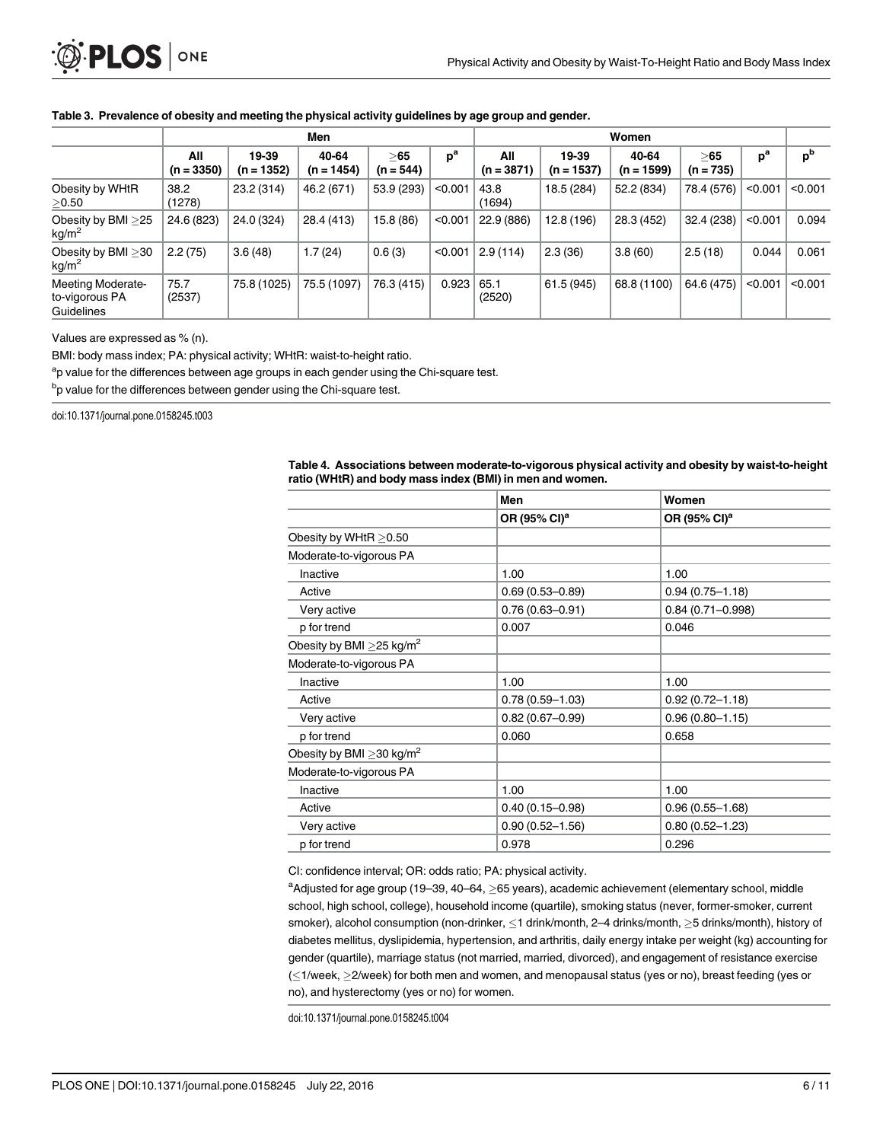#### <span id="page-5-0"></span>[Table 3.](#page-4-0) Prevalence of obesity and meeting the physical activity guidelines by age group and gender.

|                                                          | Men                 |                       |                       |                    |         | Women               |                       |                       |                    |         |                |
|----------------------------------------------------------|---------------------|-----------------------|-----------------------|--------------------|---------|---------------------|-----------------------|-----------------------|--------------------|---------|----------------|
|                                                          | All<br>$(n = 3350)$ | 19-39<br>$(n = 1352)$ | 40-64<br>$(n = 1454)$ | >65<br>$(n = 544)$ | $p^a$   | All<br>$(n = 3871)$ | 19-39<br>$(n = 1537)$ | 40-64<br>$(n = 1599)$ | >65<br>$(n = 735)$ | $p^a$   | p <sup>b</sup> |
| Obesity by WHtR<br>>0.50                                 | 38.2<br>(1278)      | 23.2 (314)            | 46.2 (671)            | 53.9 (293)         | < 0.001 | 43.8<br>(1694)      | 18.5 (284)            | 52.2 (834)            | 78.4 (576)         | < 0.001 | < 0.001        |
| Obesity by BMI >25<br>kg/m <sup>2</sup>                  | 24.6 (823)          | 24.0 (324)            | 28.4 (413)            | 15.8 (86)          | < 0.001 | 22.9 (886)          | 12.8 (196)            | 28.3 (452)            | 32.4 (238)         | < 0.001 | 0.094          |
| Obesity by BMI > 30<br>kg/m <sup>2</sup>                 | 2.2(75)             | 3.6(48)               | 1.7 (24)              | 0.6(3)             | < 0.001 | 2.9(114)            | 2.3(36)               | 3.8(60)               | 2.5(18)            | 0.044   | 0.061          |
| <b>Meeting Moderate-</b><br>to-vigorous PA<br>Guidelines | 75.7<br>(2537)      | 75.8 (1025)           | 75.5 (1097)           | 76.3 (415)         | 0.923   | 65.1<br>(2520)      | 61.5 (945)            | 68.8 (1100)           | 64.6 (475)         | < 0.001 | < 0.001        |

Values are expressed as % (n).

BMI: body mass index; PA: physical activity; WHtR: waist-to-height ratio.

<sup>a</sup>p value for the differences between age groups in each gender using the Chi-square test.

<sup>b</sup>p value for the differences between gender using the Chi-square test.

doi:10.1371/journal.pone.0158245.t003

|                                            | Men                      | Women                    |
|--------------------------------------------|--------------------------|--------------------------|
|                                            | OR (95% CI) <sup>a</sup> | OR (95% CI) <sup>a</sup> |
| Obesity by WHtR > 0.50                     |                          |                          |
| Moderate-to-vigorous PA                    |                          |                          |
| Inactive                                   | 1.00                     | 1.00                     |
| Active                                     | $0.69(0.53 - 0.89)$      | $0.94(0.75 - 1.18)$      |
| Very active                                | $0.76(0.63 - 0.91)$      | $0.84(0.71 - 0.998)$     |
| p for trend                                | 0.007                    | 0.046                    |
| Obesity by BMI $\geq$ 25 kg/m <sup>2</sup> |                          |                          |
| Moderate-to-vigorous PA                    |                          |                          |
| Inactive                                   | 1.00                     | 1.00                     |
| Active                                     | $0.78(0.59 - 1.03)$      | $0.92(0.72 - 1.18)$      |
| Very active                                | $0.82(0.67 - 0.99)$      | $0.96(0.80 - 1.15)$      |
| p for trend                                | 0.060                    | 0.658                    |
| Obesity by BMI $\geq$ 30 kg/m <sup>2</sup> |                          |                          |
| Moderate-to-vigorous PA                    |                          |                          |
| Inactive                                   | 1.00                     | 1.00                     |
| Active                                     | $0.40(0.15 - 0.98)$      | $0.96(0.55 - 1.68)$      |
| Very active                                | $0.90(0.52 - 1.56)$      | $0.80(0.52 - 1.23)$      |
| p for trend                                | 0.978                    | 0.296                    |

[Table 4.](#page-4-0) Associations between moderate-to-vigorous physical activity and obesity by waist-to-height ratio (WHtR) and body mass index (BMI) in men and women

CI: confidence interval; OR: odds ratio; PA: physical activity.

 $^{\rm a}$ Adjusted for age group (19–39, 40–64,  $\geq$ 65 years), academic achievement (elementary school, middle school, high school, college), household income (quartile), smoking status (never, former-smoker, current smoker), alcohol consumption (non-drinker,  $\leq$ 1 drink/month, 2–4 drinks/month,  $\geq$ 5 drinks/month), history of diabetes mellitus, dyslipidemia, hypertension, and arthritis, daily energy intake per weight (kg) accounting for gender (quartile), marriage status (not married, married, divorced), and engagement of resistance exercise  $(\leq 1/\text{week}, \geq 2/\text{week})$  for both men and women, and menopausal status (yes or no), breast feeding (yes or no), and hysterectomy (yes or no) for women.

doi:10.1371/journal.pone.0158245.t004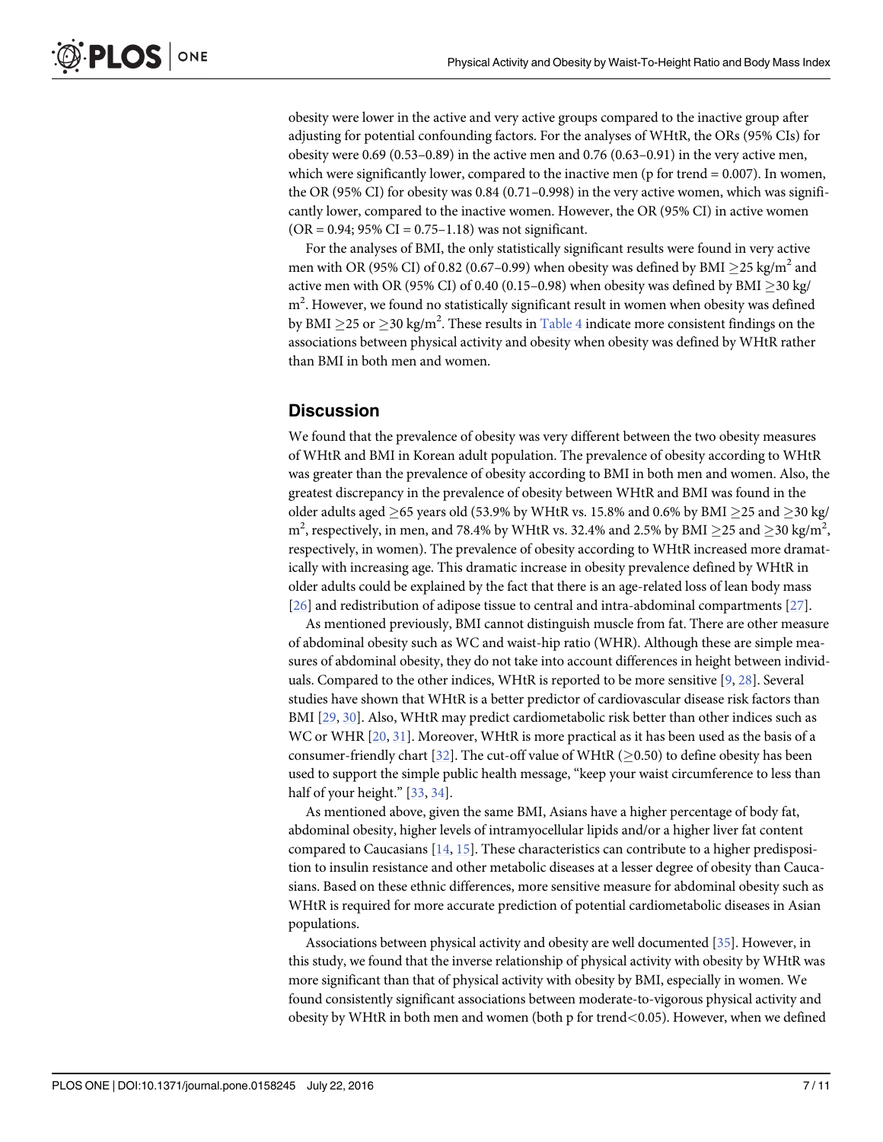<span id="page-6-0"></span>obesity were lower in the active and very active groups compared to the inactive group after adjusting for potential confounding factors. For the analyses of WHtR, the ORs (95% CIs) for obesity were 0.69 (0.53–0.89) in the active men and 0.76 (0.63–0.91) in the very active men, which were significantly lower, compared to the inactive men ( $p$  for trend  $= 0.007$ ). In women, the OR (95% CI) for obesity was 0.84 (0.71–0.998) in the very active women, which was significantly lower, compared to the inactive women. However, the OR (95% CI) in active women  $(OR = 0.94; 95\% CI = 0.75-1.18)$  was not significant.

For the analyses of BMI, the only statistically significant results were found in very active men with OR (95% CI) of 0.82 (0.67–0.99) when obesity was defined by BMI  $\geq$ 25 kg/m<sup>2</sup> and active men with OR (95% CI) of 0.40 (0.15–0.98) when obesity was defined by BMI  $\geq$  30 kg/ m<sup>2</sup>. However, we found no statistically significant result in women when obesity was defined by BMI  $\geq$ 25 or  $\geq$ 30 kg/m<sup>2</sup>. These results in <u>[Table 4](#page-5-0)</u> indicate more consistent findings on the associations between physical activity and obesity when obesity was defined by WHtR rather than BMI in both men and women.

#### **Discussion**

We found that the prevalence of obesity was very different between the two obesity measures of WHtR and BMI in Korean adult population. The prevalence of obesity according to WHtR was greater than the prevalence of obesity according to BMI in both men and women. Also, the greatest discrepancy in the prevalence of obesity between WHtR and BMI was found in the older adults aged  $\geq$  65 years old (53.9% by WHtR vs. 15.8% and 0.6% by BMI  $\geq$  25 and  $\geq$  30 kg/ m<sup>2</sup>, respectively, in men, and 78.4% by WHtR vs. 32.4% and 2.5% by BMI  $\geq$ 25 and  $\geq$ 30 kg/m<sup>2</sup>, respectively, in women). The prevalence of obesity according to WHtR increased more dramatically with increasing age. This dramatic increase in obesity prevalence defined by WHtR in older adults could be explained by the fact that there is an age-related loss of lean body mass [\[26](#page-9-0)] and redistribution of adipose tissue to central and intra-abdominal compartments [\[27\]](#page-9-0).

As mentioned previously, BMI cannot distinguish muscle from fat. There are other measure of abdominal obesity such as WC and waist-hip ratio (WHR). Although these are simple measures of abdominal obesity, they do not take into account differences in height between individuals. Compared to the other indices, WHtR is reported to be more sensitive  $[9, 28]$  $[9, 28]$  $[9, 28]$  $[9, 28]$ . Several studies have shown that WHtR is a better predictor of cardiovascular disease risk factors than BMI [[29](#page-9-0), [30](#page-9-0)]. Also, WHtR may predict cardiometabolic risk better than other indices such as WC or WHR  $[20, 31]$  $[20, 31]$  $[20, 31]$ . Moreover, WHtR is more practical as it has been used as the basis of a consumer-friendly chart [\[32\]](#page-9-0). The cut-off value of WHtR ( $\geq$ 0.50) to define obesity has been used to support the simple public health message, "keep your waist circumference to less than half of your height." [[33,](#page-9-0) [34](#page-9-0)].

As mentioned above, given the same BMI, Asians have a higher percentage of body fat, abdominal obesity, higher levels of intramyocellular lipids and/or a higher liver fat content compared to Caucasians  $[14, 15]$  $[14, 15]$  $[14, 15]$ . These characteristics can contribute to a higher predisposition to insulin resistance and other metabolic diseases at a lesser degree of obesity than Caucasians. Based on these ethnic differences, more sensitive measure for abdominal obesity such as WHtR is required for more accurate prediction of potential cardiometabolic diseases in Asian populations.

Associations between physical activity and obesity are well documented [\[35\]](#page-9-0). However, in this study, we found that the inverse relationship of physical activity with obesity by WHtR was more significant than that of physical activity with obesity by BMI, especially in women. We found consistently significant associations between moderate-to-vigorous physical activity and obesity by WHtR in both men and women (both p for trend<0.05). However, when we defined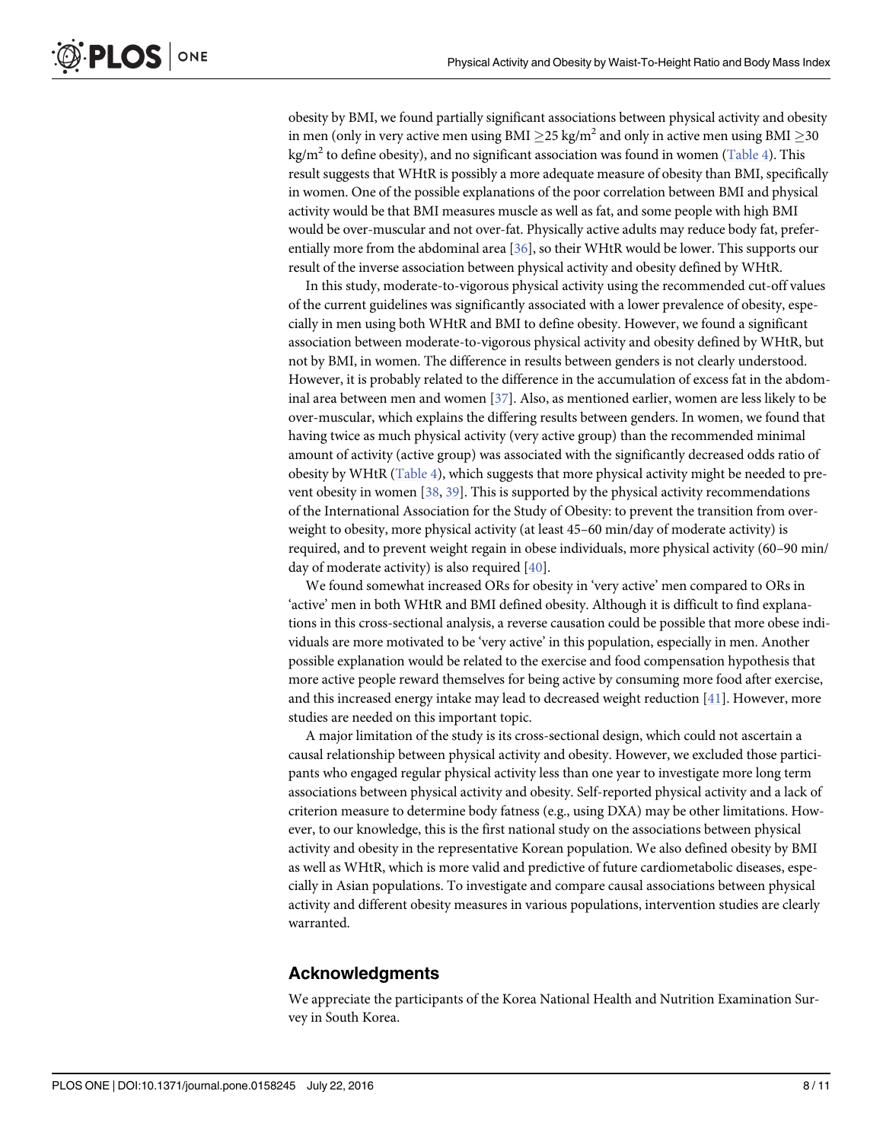<span id="page-7-0"></span>obesity by BMI, we found partially significant associations between physical activity and obesity in men (only in very active men using BMI  $>$  25 kg/m<sup>2</sup> and only in active men using BMI  $>$  30 kg/m<sup>2</sup> to define obesity), and no significant association was found in women [\(Table 4](#page-5-0)). This result suggests that WHtR is possibly a more adequate measure of obesity than BMI, specifically in women. One of the possible explanations of the poor correlation between BMI and physical activity would be that BMI measures muscle as well as fat, and some people with high BMI would be over-muscular and not over-fat. Physically active adults may reduce body fat, preferentially more from the abdominal area [[36](#page-9-0)], so their WHtR would be lower. This supports our result of the inverse association between physical activity and obesity defined by WHtR.

In this study, moderate-to-vigorous physical activity using the recommended cut-off values of the current guidelines was significantly associated with a lower prevalence of obesity, especially in men using both WHtR and BMI to define obesity. However, we found a significant association between moderate-to-vigorous physical activity and obesity defined by WHtR, but not by BMI, in women. The difference in results between genders is not clearly understood. However, it is probably related to the difference in the accumulation of excess fat in the abdominal area between men and women [\[37\]](#page-9-0). Also, as mentioned earlier, women are less likely to be over-muscular, which explains the differing results between genders. In women, we found that having twice as much physical activity (very active group) than the recommended minimal amount of activity (active group) was associated with the significantly decreased odds ratio of obesity by WHtR [\(Table 4](#page-5-0)), which suggests that more physical activity might be needed to prevent obesity in women [\[38,](#page-9-0) [39\]](#page-9-0). This is supported by the physical activity recommendations of the International Association for the Study of Obesity: to prevent the transition from overweight to obesity, more physical activity (at least 45–60 min/day of moderate activity) is required, and to prevent weight regain in obese individuals, more physical activity (60–90 min/ day of moderate activity) is also required [[40](#page-10-0)].

We found somewhat increased ORs for obesity in 'very active' men compared to ORs in 'active' men in both WHtR and BMI defined obesity. Although it is difficult to find explanations in this cross-sectional analysis, a reverse causation could be possible that more obese individuals are more motivated to be 'very active' in this population, especially in men. Another possible explanation would be related to the exercise and food compensation hypothesis that more active people reward themselves for being active by consuming more food after exercise, and this increased energy intake may lead to decreased weight reduction  $[41]$  $[41]$  $[41]$ . However, more studies are needed on this important topic.

A major limitation of the study is its cross-sectional design, which could not ascertain a causal relationship between physical activity and obesity. However, we excluded those participants who engaged regular physical activity less than one year to investigate more long term associations between physical activity and obesity. Self-reported physical activity and a lack of criterion measure to determine body fatness (e.g., using DXA) may be other limitations. However, to our knowledge, this is the first national study on the associations between physical activity and obesity in the representative Korean population. We also defined obesity by BMI as well as WHtR, which is more valid and predictive of future cardiometabolic diseases, especially in Asian populations. To investigate and compare causal associations between physical activity and different obesity measures in various populations, intervention studies are clearly warranted.

# Acknowledgments

We appreciate the participants of the Korea National Health and Nutrition Examination Survey in South Korea.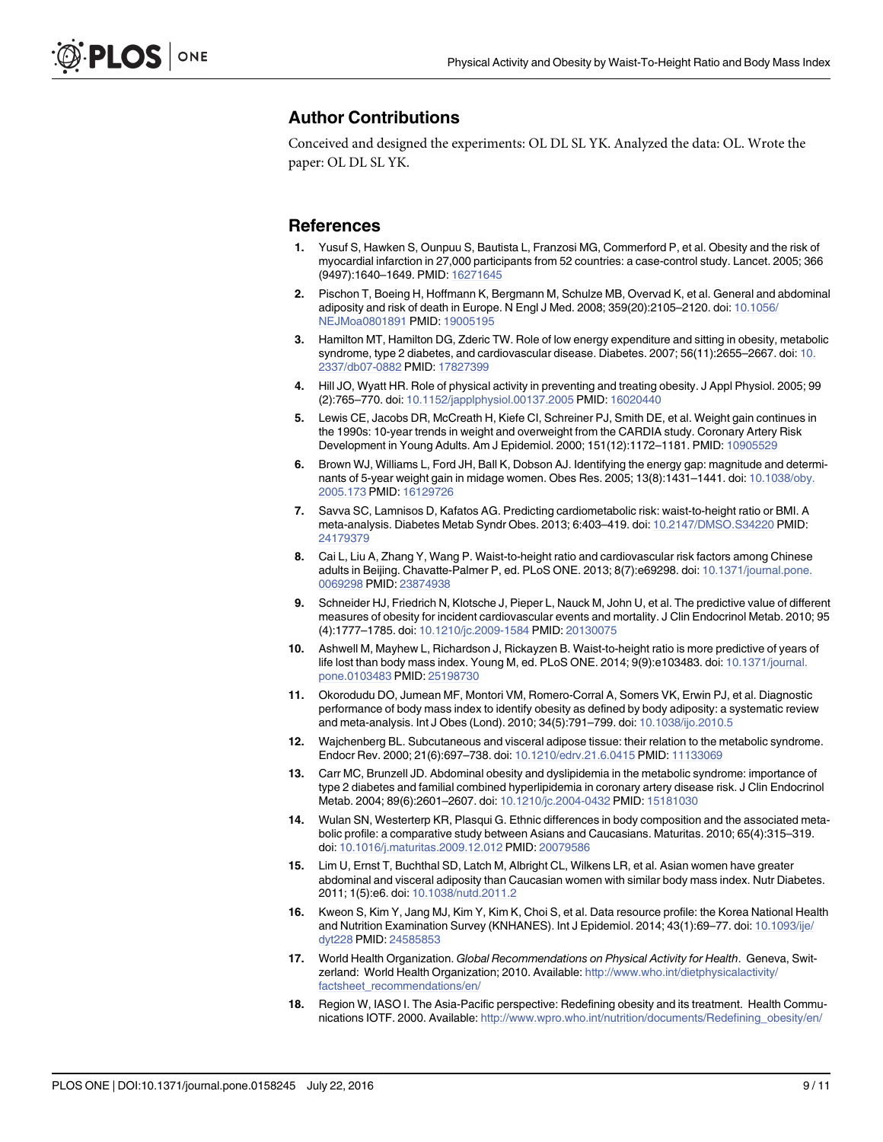### <span id="page-8-0"></span>Author Contributions

Conceived and designed the experiments: OL DL SL YK. Analyzed the data: OL. Wrote the paper: OL DL SL YK.

#### References

- [1.](#page-1-0) Yusuf S, Hawken S, Ounpuu S, Bautista L, Franzosi MG, Commerford P, et al. Obesity and the risk of myocardial infarction in 27,000 participants from 52 countries: a case-control study. Lancet. 2005; 366 (9497):1640–1649. PMID: [16271645](http://www.ncbi.nlm.nih.gov/pubmed/16271645)
- [2.](#page-1-0) Pischon T, Boeing H, Hoffmann K, Bergmann M, Schulze MB, Overvad K, et al. General and abdominal adiposity and risk of death in Europe. N Engl J Med. 2008; 359(20):2105–2120. doi: [10.1056/](http://dx.doi.org/10.1056/NEJMoa0801891) [NEJMoa0801891](http://dx.doi.org/10.1056/NEJMoa0801891) PMID: [19005195](http://www.ncbi.nlm.nih.gov/pubmed/19005195)
- [3.](#page-1-0) Hamilton MT, Hamilton DG, Zderic TW. Role of low energy expenditure and sitting in obesity, metabolic syndrome, type 2 diabetes, and cardiovascular disease. Diabetes. 2007; 56(11):2655–2667. doi: [10.](http://dx.doi.org/10.2337/db07-0882) [2337/db07-0882](http://dx.doi.org/10.2337/db07-0882) PMID: [17827399](http://www.ncbi.nlm.nih.gov/pubmed/17827399)
- [4.](#page-1-0) Hill JO, Wyatt HR. Role of physical activity in preventing and treating obesity. J Appl Physiol. 2005; 99 (2):765–770. doi: [10.1152/japplphysiol.00137.2005](http://dx.doi.org/10.1152/japplphysiol.00137.2005) PMID: [16020440](http://www.ncbi.nlm.nih.gov/pubmed/16020440)
- [5.](#page-1-0) Lewis CE, Jacobs DR, McCreath H, Kiefe CI, Schreiner PJ, Smith DE, et al. Weight gain continues in the 1990s: 10-year trends in weight and overweight from the CARDIA study. Coronary Artery Risk Development in Young Adults. Am J Epidemiol. 2000; 151(12):1172–1181. PMID: [10905529](http://www.ncbi.nlm.nih.gov/pubmed/10905529)
- [6.](#page-1-0) Brown WJ, Williams L, Ford JH, Ball K, Dobson AJ. Identifying the energy gap: magnitude and determinants of 5-year weight gain in midage women. Obes Res. 2005; 13(8):1431–1441. doi: [10.1038/oby.](http://dx.doi.org/10.1038/oby.2005.173) [2005.173](http://dx.doi.org/10.1038/oby.2005.173) PMID: [16129726](http://www.ncbi.nlm.nih.gov/pubmed/16129726)
- [7.](#page-1-0) Savva SC, Lamnisos D, Kafatos AG. Predicting cardiometabolic risk: waist-to-height ratio or BMI. A meta-analysis. Diabetes Metab Syndr Obes. 2013; 6:403–419. doi: [10.2147/DMSO.S34220](http://dx.doi.org/10.2147/DMSO.S34220) PMID: [24179379](http://www.ncbi.nlm.nih.gov/pubmed/24179379)
- 8. Cai L, Liu A, Zhang Y, Wang P. Waist-to-height ratio and cardiovascular risk factors among Chinese adults in Beijing. Chavatte-Palmer P, ed. PLoS ONE. 2013; 8(7):e69298. doi: [10.1371/journal.pone.](http://dx.doi.org/10.1371/journal.pone.0069298) [0069298](http://dx.doi.org/10.1371/journal.pone.0069298) PMID: [23874938](http://www.ncbi.nlm.nih.gov/pubmed/23874938)
- [9.](#page-6-0) Schneider HJ, Friedrich N, Klotsche J, Pieper L, Nauck M, John U, et al. The predictive value of different measures of obesity for incident cardiovascular events and mortality. J Clin Endocrinol Metab. 2010; 95 (4):1777–1785. doi: [10.1210/jc.2009-1584](http://dx.doi.org/10.1210/jc.2009-1584) PMID: [20130075](http://www.ncbi.nlm.nih.gov/pubmed/20130075)
- [10.](#page-1-0) Ashwell M, Mayhew L, Richardson J, Rickayzen B. Waist-to-height ratio is more predictive of years of life lost than body mass index. Young M, ed. PLoS ONE. 2014; 9(9):e103483. doi: [10.1371/journal.](http://dx.doi.org/10.1371/journal.pone.0103483) [pone.0103483](http://dx.doi.org/10.1371/journal.pone.0103483) PMID: [25198730](http://www.ncbi.nlm.nih.gov/pubmed/25198730)
- [11.](#page-1-0) Okorodudu DO, Jumean MF, Montori VM, Romero-Corral A, Somers VK, Erwin PJ, et al. Diagnostic performance of body mass index to identify obesity as defined by body adiposity: a systematic review and meta-analysis. Int J Obes (Lond). 2010; 34(5):791–799. doi: [10.1038/ijo.2010.5](http://dx.doi.org/10.1038/ijo.2010.5)
- [12.](#page-1-0) Wajchenberg BL. Subcutaneous and visceral adipose tissue: their relation to the metabolic syndrome. Endocr Rev. 2000; 21(6):697–738. doi: [10.1210/edrv.21.6.0415](http://dx.doi.org/10.1210/edrv.21.6.0415) PMID: [11133069](http://www.ncbi.nlm.nih.gov/pubmed/11133069)
- [13.](#page-1-0) Carr MC, Brunzell JD. Abdominal obesity and dyslipidemia in the metabolic syndrome: importance of type 2 diabetes and familial combined hyperlipidemia in coronary artery disease risk. J Clin Endocrinol Metab. 2004; 89(6):2601-2607. doi: [10.1210/jc.2004-0432](http://dx.doi.org/10.1210/jc.2004-0432) PMID: [15181030](http://www.ncbi.nlm.nih.gov/pubmed/15181030)
- [14.](#page-1-0) Wulan SN, Westerterp KR, Plasqui G. Ethnic differences in body composition and the associated metabolic profile: a comparative study between Asians and Caucasians. Maturitas. 2010; 65(4):315–319. doi: [10.1016/j.maturitas.2009.12.012](http://dx.doi.org/10.1016/j.maturitas.2009.12.012) PMID: [20079586](http://www.ncbi.nlm.nih.gov/pubmed/20079586)
- [15.](#page-1-0) Lim U, Ernst T, Buchthal SD, Latch M, Albright CL, Wilkens LR, et al. Asian women have greater abdominal and visceral adiposity than Caucasian women with similar body mass index. Nutr Diabetes. 2011; 1(5):e6. doi: [10.1038/nutd.2011.2](http://dx.doi.org/10.1038/nutd.2011.2)
- [16.](#page-2-0) Kweon S, Kim Y, Jang MJ, Kim Y, Kim K, Choi S, et al. Data resource profile: the Korea National Health and Nutrition Examination Survey (KNHANES). Int J Epidemiol. 2014; 43(1):69-77. doi: [10.1093/ije/](http://dx.doi.org/10.1093/ije/dyt228) [dyt228](http://dx.doi.org/10.1093/ije/dyt228) PMID: [24585853](http://www.ncbi.nlm.nih.gov/pubmed/24585853)
- [17.](#page-2-0) World Health Organization. Global Recommendations on Physical Activity for Health. Geneva, Switzerland: World Health Organization; 2010. Available: [http://www.who.int/dietphysicalactivity/](http://www.who.int/dietphysicalactivity/factsheet_recommendations/en/) [factsheet\\_recommendations/en/](http://www.who.int/dietphysicalactivity/factsheet_recommendations/en/)
- [18.](#page-3-0) Region W, IASO I. The Asia-Pacific perspective: Redefining obesity and its treatment. Health Communications IOTF. 2000. Available: [http://www.wpro.who.int/nutrition/documents/Redefining\\_obesity/en/](http://www.wpro.who.int/nutrition/documents/Redefining_obesity/en/)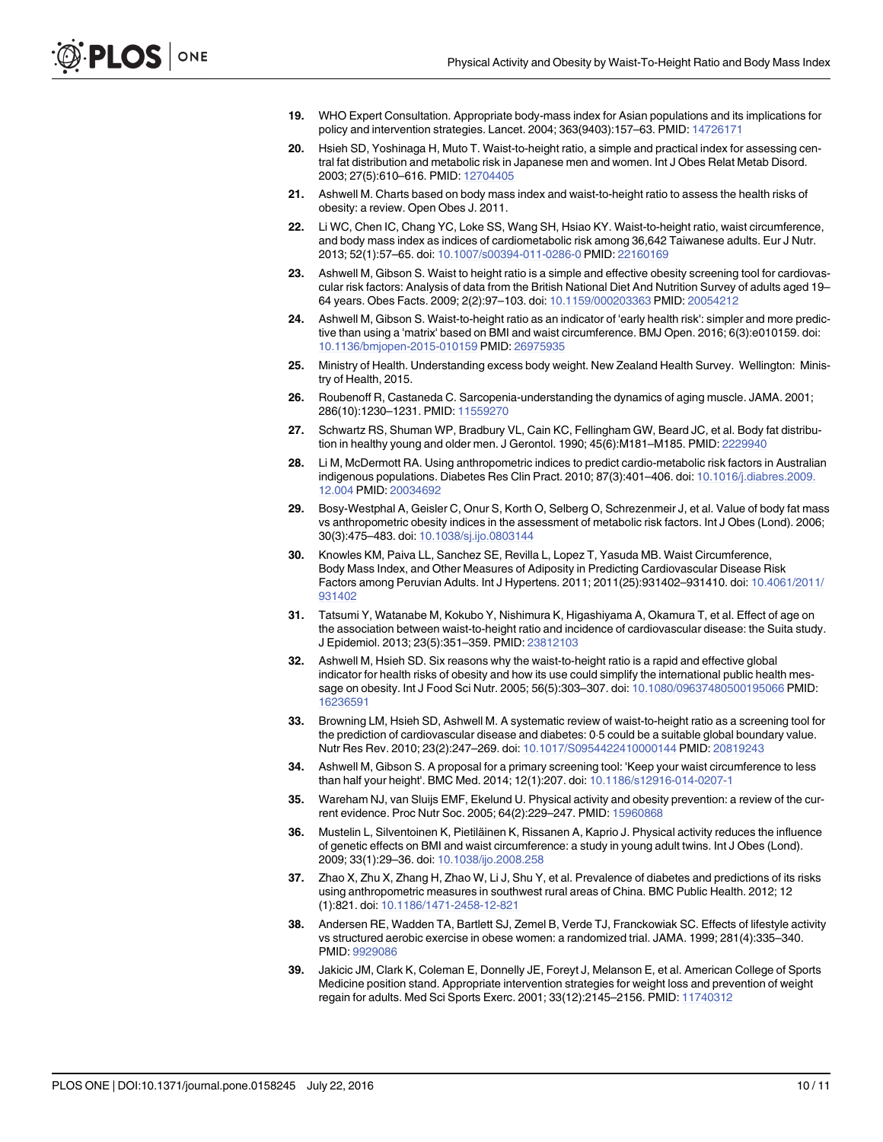- <span id="page-9-0"></span>[19.](#page-3-0) WHO Expert Consultation. Appropriate body-mass index for Asian populations and its implications for policy and intervention strategies. Lancet. 2004; 363(9403):157–63. PMID: [14726171](http://www.ncbi.nlm.nih.gov/pubmed/14726171)
- [20.](#page-3-0) Hsieh SD, Yoshinaga H, Muto T. Waist-to-height ratio, a simple and practical index for assessing central fat distribution and metabolic risk in Japanese men and women. Int J Obes Relat Metab Disord. 2003; 27(5):610–616. PMID: [12704405](http://www.ncbi.nlm.nih.gov/pubmed/12704405)
- [21.](#page-3-0) Ashwell M. Charts based on body mass index and waist-to-height ratio to assess the health risks of obesity: a review. Open Obes J. 2011.
- [22.](#page-3-0) Li WC, Chen IC, Chang YC, Loke SS, Wang SH, Hsiao KY. Waist-to-height ratio, waist circumference, and body mass index as indices of cardiometabolic risk among 36,642 Taiwanese adults. Eur J Nutr. 2013; 52(1):57–65. doi: [10.1007/s00394-011-0286-0](http://dx.doi.org/10.1007/s00394-011-0286-0) PMID: [22160169](http://www.ncbi.nlm.nih.gov/pubmed/22160169)
- [23.](#page-4-0) Ashwell M, Gibson S. Waist to height ratio is a simple and effective obesity screening tool for cardiovascular risk factors: Analysis of data from the British National Diet And Nutrition Survey of adults aged 19– 64 years. Obes Facts. 2009; 2(2):97–103. doi: [10.1159/000203363](http://dx.doi.org/10.1159/000203363) PMID: [20054212](http://www.ncbi.nlm.nih.gov/pubmed/20054212)
- [24.](#page-4-0) Ashwell M, Gibson S. Waist-to-height ratio as an indicator of 'early health risk': simpler and more predictive than using a 'matrix' based on BMI and waist circumference. BMJ Open. 2016; 6(3):e010159. doi: [10.1136/bmjopen-2015-010159](http://dx.doi.org/10.1136/bmjopen-2015-010159) PMID: [26975935](http://www.ncbi.nlm.nih.gov/pubmed/26975935)
- [25.](#page-4-0) Ministry of Health. Understanding excess body weight. New Zealand Health Survey. Wellington: Ministry of Health, 2015.
- [26.](#page-6-0) Roubenoff R, Castaneda C. Sarcopenia-understanding the dynamics of aging muscle. JAMA. 2001; 286(10):1230–1231. PMID: [11559270](http://www.ncbi.nlm.nih.gov/pubmed/11559270)
- [27.](#page-6-0) Schwartz RS, Shuman WP, Bradbury VL, Cain KC, Fellingham GW, Beard JC, et al. Body fat distribu-tion in healthy young and older men. J Gerontol. 1990; 45(6):M181-M185. PMID: [2229940](http://www.ncbi.nlm.nih.gov/pubmed/2229940)
- [28.](#page-6-0) Li M, McDermott RA. Using anthropometric indices to predict cardio-metabolic risk factors in Australian indigenous populations. Diabetes Res Clin Pract. 2010; 87(3):401–406. doi: [10.1016/j.diabres.2009.](http://dx.doi.org/10.1016/j.diabres.2009.12.004) [12.004](http://dx.doi.org/10.1016/j.diabres.2009.12.004) PMID: [20034692](http://www.ncbi.nlm.nih.gov/pubmed/20034692)
- [29.](#page-6-0) Bosy-Westphal A, Geisler C, Onur S, Korth O, Selberg O, Schrezenmeir J, et al. Value of body fat mass vs anthropometric obesity indices in the assessment of metabolic risk factors. Int J Obes (Lond). 2006; 30(3):475–483. doi: [10.1038/sj.ijo.0803144](http://dx.doi.org/10.1038/sj.ijo.0803144)
- [30.](#page-6-0) Knowles KM, Paiva LL, Sanchez SE, Revilla L, Lopez T, Yasuda MB. Waist Circumference, Body Mass Index, and Other Measures of Adiposity in Predicting Cardiovascular Disease Risk Factors among Peruvian Adults. Int J Hypertens. 2011; 2011(25):931402–931410. doi: [10.4061/2011/](http://dx.doi.org/10.4061/2011/931402) [931402](http://dx.doi.org/10.4061/2011/931402)
- [31.](#page-6-0) Tatsumi Y, Watanabe M, Kokubo Y, Nishimura K, Higashiyama A, Okamura T, et al. Effect of age on the association between waist-to-height ratio and incidence of cardiovascular disease: the Suita study. J Epidemiol. 2013; 23(5):351–359. PMID: [23812103](http://www.ncbi.nlm.nih.gov/pubmed/23812103)
- [32.](#page-6-0) Ashwell M, Hsieh SD. Six reasons why the waist-to-height ratio is a rapid and effective global indicator for health risks of obesity and how its use could simplify the international public health message on obesity. Int J Food Sci Nutr. 2005; 56(5):303–307. doi: [10.1080/09637480500195066](http://dx.doi.org/10.1080/09637480500195066) PMID: [16236591](http://www.ncbi.nlm.nih.gov/pubmed/16236591)
- [33.](#page-6-0) Browning LM, Hsieh SD, Ashwell M. A systematic review of waist-to-height ratio as a screening tool for the prediction of cardiovascular disease and diabetes: 05 could be a suitable global boundary value. Nutr Res Rev. 2010; 23(2):247–269. doi: [10.1017/S0954422410000144](http://dx.doi.org/10.1017/S0954422410000144) PMID: [20819243](http://www.ncbi.nlm.nih.gov/pubmed/20819243)
- [34.](#page-6-0) Ashwell M, Gibson S. A proposal for a primary screening tool: 'Keep your waist circumference to less than half your height'. BMC Med. 2014; 12(1):207. doi: [10.1186/s12916-014-0207-1](http://dx.doi.org/10.1186/s12916-014-0207-1)
- [35.](#page-6-0) Wareham NJ, van Sluijs EMF, Ekelund U. Physical activity and obesity prevention: a review of the current evidence. Proc Nutr Soc. 2005; 64(2):229–247. PMID: [15960868](http://www.ncbi.nlm.nih.gov/pubmed/15960868)
- [36.](#page-7-0) Mustelin L, Silventoinen K, Pietiläinen K, Rissanen A, Kaprio J. Physical activity reduces the influence of genetic effects on BMI and waist circumference: a study in young adult twins. Int J Obes (Lond). 2009; 33(1):29–36. doi: [10.1038/ijo.2008.258](http://dx.doi.org/10.1038/ijo.2008.258)
- [37.](#page-7-0) Zhao X, Zhu X, Zhang H, Zhao W, Li J, Shu Y, et al. Prevalence of diabetes and predictions of its risks using anthropometric measures in southwest rural areas of China. BMC Public Health. 2012; 12 (1):821. doi: [10.1186/1471-2458-12-821](http://dx.doi.org/10.1186/1471-2458-12-821)
- [38.](#page-7-0) Andersen RE, Wadden TA, Bartlett SJ, Zemel B, Verde TJ, Franckowiak SC. Effects of lifestyle activity vs structured aerobic exercise in obese women: a randomized trial. JAMA. 1999; 281(4):335–340. PMID: [9929086](http://www.ncbi.nlm.nih.gov/pubmed/9929086)
- [39.](#page-7-0) Jakicic JM, Clark K, Coleman E, Donnelly JE, Foreyt J, Melanson E, et al. American College of Sports Medicine position stand. Appropriate intervention strategies for weight loss and prevention of weight regain for adults. Med Sci Sports Exerc. 2001; 33(12):2145–2156. PMID: [11740312](http://www.ncbi.nlm.nih.gov/pubmed/11740312)